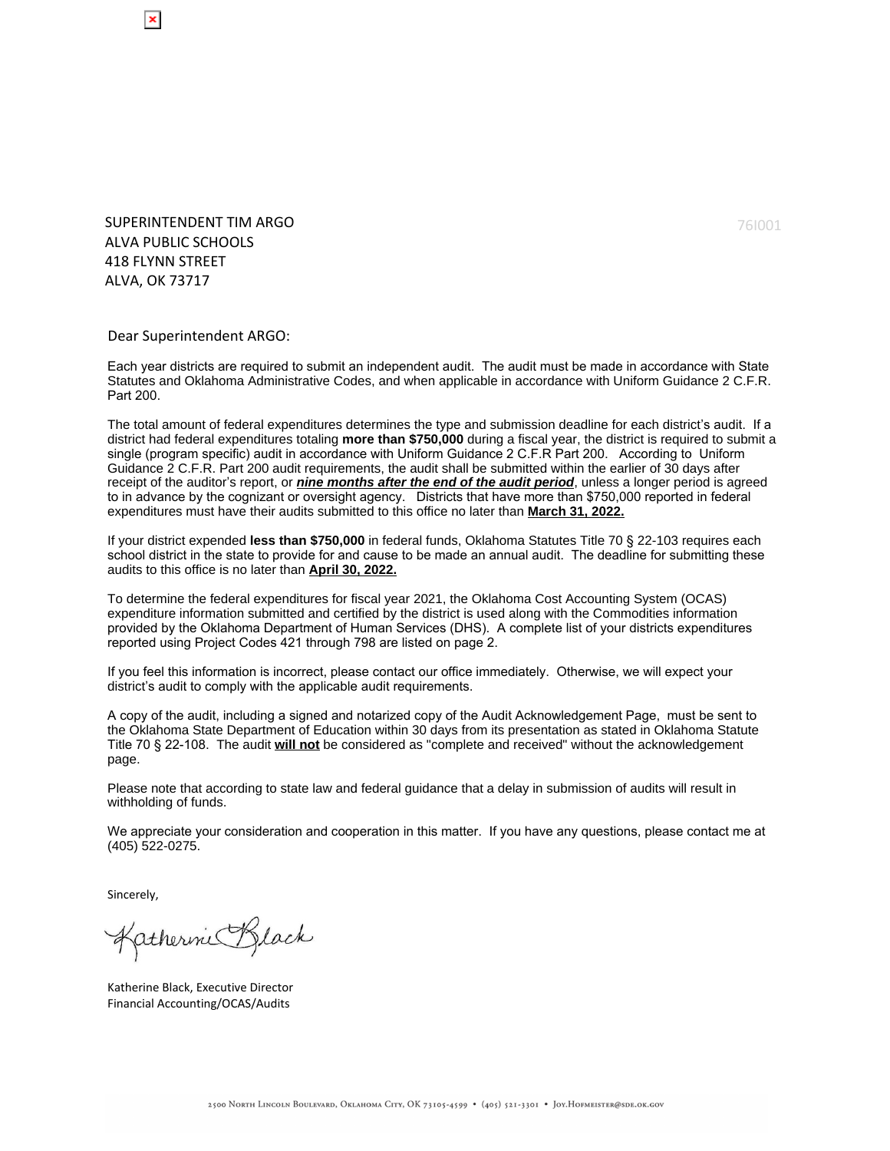SUPERINTENDENT TIM ARGO ALVA PUBLIC SCHOOLS 418 FLYNN STREET ALVA, OK 73717

Dear Superintendent ARGO:

Each year districts are required to submit an independent audit. The audit must be made in accordance with State Statutes and Oklahoma Administrative Codes, and when applicable in accordance with Uniform Guidance 2 C.F.R. Part 200.

The total amount of federal expenditures determines the type and submission deadline for each district's audit. If a district had federal expenditures totaling **more than \$750,000** during a fiscal year, the district is required to submit a single (program specific) audit in accordance with Uniform Guidance 2 C.F.R Part 200. According to Uniform Guidance 2 C.F.R. Part 200 audit requirements, the audit shall be submitted within the earlier of 30 days after receipt of the auditor's report, or **nine months after the end of the audit period**, unless a longer period is agreed to in advance by the cognizant or oversight agency. Districts that have more than \$750,000 reported in federal expenditures must have their audits submitted to this office no later than **March 31, 2022.**

If your district expended **less than \$750,000** in federal funds, Oklahoma Statutes Title 70 § 22-103 requires each school district in the state to provide for and cause to be made an annual audit. The deadline for submitting these audits to this office is no later than **April 30, 2022.**

To determine the federal expenditures for fiscal year 2021, the Oklahoma Cost Accounting System (OCAS) expenditure information submitted and certified by the district is used along with the Commodities information provided by the Oklahoma Department of Human Services (DHS). A complete list of your districts expenditures reported using Project Codes 421 through 798 are listed on page 2.

If you feel this information is incorrect, please contact our office immediately. Otherwise, we will expect your district's audit to comply with the applicable audit requirements.

A copy of the audit, including a signed and notarized copy of the Audit Acknowledgement Page, must be sent to the Oklahoma State Department of Education within 30 days from its presentation as stated in Oklahoma Statute Title 70 § 22-108. The audit **will not** be considered as "complete and received" without the acknowledgement page.

Please note that according to state law and federal guidance that a delay in submission of audits will result in withholding of funds.

We appreciate your consideration and cooperation in this matter. If you have any questions, please contact me at (405) 522-0275.

Sincerely,

Katherine Black

Katherine Black, Executive Director Financial Accounting/OCAS/Audits

76I001